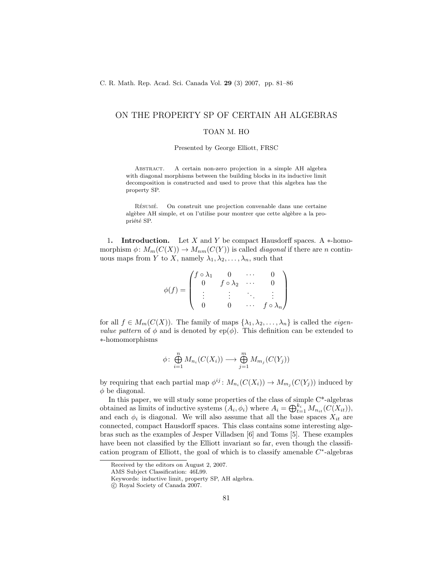# ON THE PROPERTY SP OF CERTAIN AH ALGEBRAS

### TOAN M. HO

#### Presented by George Elliott, FRSC

ABSTRACT. A certain non-zero projection in a simple AH algebra with diagonal morphisms between the building blocks in its inductive limit decomposition is constructed and used to prove that this algebra has the property SP.

RÉSUMÉ. On construit une projection convenable dans une certaine algèbre AH simple, et on l'utilise pour montrer que cette algèbre a la propriété SP.

1. Introduction. Let X and Y be compact Hausdorff spaces. A ∗-homomorphism  $\phi: M_m(C(X)) \to M_{nm}(C(Y))$  is called *diagonal* if there are n continuous maps from Y to X, namely  $\lambda_1, \lambda_2, \ldots, \lambda_n$ , such that

$$
\phi(f) = \begin{pmatrix} f \circ \lambda_1 & 0 & \cdots & 0 \\ 0 & f \circ \lambda_2 & \cdots & 0 \\ \vdots & \vdots & \ddots & \vdots \\ 0 & 0 & \cdots & f \circ \lambda_n \end{pmatrix}
$$

for all  $f \in M_m(C(X))$ . The family of maps  $\{\lambda_1, \lambda_2, \ldots, \lambda_n\}$  is called the *eigenvalue pattern* of  $\phi$  and is denoted by ep( $\phi$ ). This definition can be extended to ∗-homomorphisms

$$
\phi \colon \bigoplus_{i=1}^{n} M_{n_i}(C(X_i)) \longrightarrow \bigoplus_{j=1}^{m} M_{m_j}(C(Y_j))
$$

by requiring that each partial map  $\phi^{ij}$ :  $M_{n_i}(C(X_i)) \to M_{m_j}(C(Y_j))$  induced by  $\phi$  be diagonal.

In this paper, we will study some properties of the class of simple C\*-algebras obtained as limits of inductive systems  $(A_i, \phi_i)$  where  $A_i = \bigoplus_{t=1}^{k_i} M_{n_{it}}(C(X_{it}))$ , and each  $\phi_i$  is diagonal. We will also assume that all the base spaces  $X_{it}$  are connected, compact Hausdorff spaces. This class contains some interesting algebras such as the examples of Jesper Villadsen [6] and Toms [5]. These examples have been not classified by the Elliott invariant so far, even though the classification program of Elliott, the goal of which is to classify amenable  $C^*$ -algebras

Received by the editors on August 2, 2007.

AMS Subject Classification: 46L99.

Keywords: inductive limit, property SP, AH algebra.

c Royal Society of Canada 2007.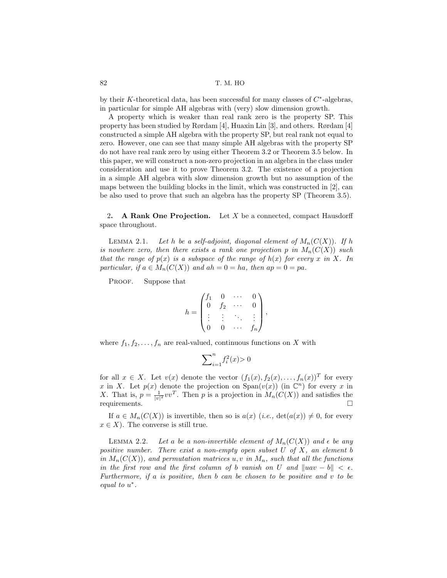by their K-theoretical data, has been successful for many classes of  $C^*$ -algebras, in particular for simple AH algebras with (very) slow dimension growth.

A property which is weaker than real rank zero is the property SP. This property has been studied by Rørdam [4], Huaxin Lin [3], and others. Rørdam [4] constructed a simple AH algebra with the property SP, but real rank not equal to zero. However, one can see that many simple AH algebras with the property SP do not have real rank zero by using either Theorem 3.2 or Theorem 3.5 below. In this paper, we will construct a non-zero projection in an algebra in the class under consideration and use it to prove Theorem 3.2. The existence of a projection in a simple AH algebra with slow dimension growth but no assumption of the maps between the building blocks in the limit, which was constructed in [2], can be also used to prove that such an algebra has the property SP (Theorem 3.5).

2. A Rank One Projection. Let  $X$  be a connected, compact Hausdorff space throughout.

LEMMA 2.1. Let h be a self-adjoint, diagonal element of  $M_n(C(X))$ . If h is nowhere zero, then there exists a rank one projection p in  $M_n(C(X))$  such that the range of  $p(x)$  is a subspace of the range of  $h(x)$  for every x in X. In particular, if  $a \in M_n(C(X))$  and  $ah = 0 = ha$ , then  $ap = 0 = pa$ .

PROOF. Suppose that

$$
h = \begin{pmatrix} f_1 & 0 & \cdots & 0 \\ 0 & f_2 & \cdots & 0 \\ \vdots & \vdots & \ddots & \vdots \\ 0 & 0 & \cdots & f_n \end{pmatrix},
$$

where  $f_1, f_2, \ldots, f_n$  are real-valued, continuous functions on X with

$$
\sum\nolimits_{i=1}^nf_i^2(x)\!>0
$$

for all  $x \in X$ . Let  $v(x)$  denote the vector  $(f_1(x), f_2(x), \ldots, f_n(x))^T$  for every x in X. Let  $p(x)$  denote the projection on  $\text{Span}(v(x))$  (in  $\mathbb{C}^n$ ) for every x in X. That is,  $p = \frac{1}{|v|^2} vv^T$ . Then p is a projection in  $M_n(C(X))$  and satisfies the requirements.  $\square$ 

If  $a \in M_n(C(X))$  is invertible, then so is  $a(x)$  (*i.e.*,  $det(a(x)) \neq 0$ , for every  $x \in X$ ). The converse is still true.

LEMMA 2.2. Let a be a non-invertible element of  $M_n(C(X))$  and  $\epsilon$  be any positive number. There exist a non-empty open subset  $U$  of  $X$ , an element  $b$ in  $M_n(C(X))$ , and permutation matrices u, v in  $M_n$ , such that all the functions in the first row and the first column of b vanish on U and  $\|u\|$   $\leq \epsilon$ . Furthermore, if a is positive, then b can be chosen to be positive and v to be equal to  $u^*$ .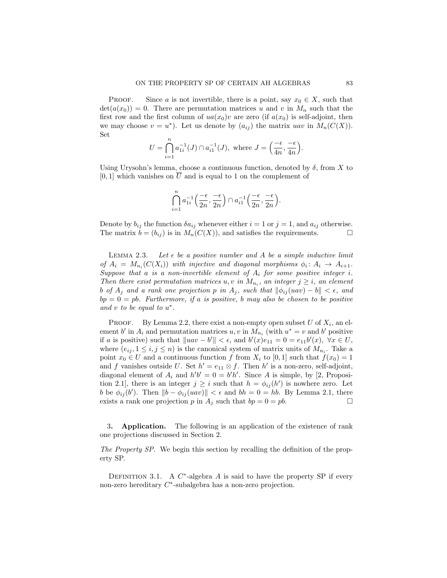**PROOF.** Since a is not invertible, there is a point, say  $x_0 \in X$ , such that  $\det(a(x_0)) = 0$ . There are permutation matrices u and v in  $M_n$  such that the first row and the first column of  $ua(x_0)v$  are zero (if  $a(x_0)$ ) is self-adjoint, then we may choose  $v = u^*$ ). Let us denote by  $(a_{ij})$  the matrix uav in  $M_n(C(X))$ . Set

$$
U = \bigcap_{i=1}^{n} a_{1i}^{-1}(J) \cap a_{i1}^{-1}(J), \text{ where } J = \left(\frac{-\epsilon}{4n}, \frac{-\epsilon}{4n}\right).
$$

Using Urysohn's lemma, choose a continuous function, denoted by  $\delta$ , from X to [0, 1] which vanishes on  $\overline{U}$  and is equal to 1 on the complement of

$$
\bigcap_{i=1}^n a_{1i}^{-1}\Big(\frac{-\epsilon}{2n}, \frac{-\epsilon}{2n}\Big) \cap a_{i1}^{-1}\Big(\frac{-\epsilon}{2n}, \frac{-\epsilon}{2n}\Big).
$$

Denote by  $b_{ij}$  the function  $\delta a_{ij}$  whenever either  $i = 1$  or  $j = 1$ , and  $a_{ij}$  otherwise. The matrix  $b = (b_{ij})$  is in  $M_n(C(X))$ , and satisfies the requirements.

LEMMA 2.3. Let  $\epsilon$  be a positive number and A be a simple inductive limit of  $A_i = M_{n_i}(C(X_i))$  with injective and diagonal morphisms  $\phi_i: A_i \to A_{i+1}$ . Suppose that a is a non-invertible element of  $A_i$  for some positive integer i. Then there exist permutation matrices  $u, v$  in  $M_{n_i}$ , an integer  $j \geq i$ , an element b of  $A_j$  and a rank one projection p in  $A_j$ , such that  $\|\phi_{ij}(uav) - b\| < \epsilon$ , and  $bp = 0 = pb$ . Furthermore, if a is positive, b may also be chosen to be positive and  $v$  to be equal to  $u^*$ .

PROOF. By Lemma 2.2, there exist a non-empty open subset  $U$  of  $X_i$ , an element b' in  $A_i$  and permutation matrices  $u, v$  in  $M_{n_i}$  (with  $u^* = v$  and b' positive if a is positive) such that  $\|uav - b'\| < \epsilon$ , and  $b'(x)e_{11} = 0 = e_{11}b'(x)$ ,  $\forall x \in U$ , where  $(e_{ij}, 1 \le i, j \le n)$  is the canonical system of matrix units of  $M_{n_i}$ . Take a point  $x_0 \in U$  and a continuous function f from  $X_i$  to [0, 1] such that  $f(x_0) = 1$ and f vanishes outside U. Set  $h' = e_{11} \otimes f$ . Then  $h'$  is a non-zero, self-adjoint, diagonal element of  $A_i$  and  $h'b' = 0 = b'h'$ . Since A is simple, by [2, Proposition 2.1], there is an integer  $j \geq i$  such that  $h = \phi_{ij}(h')$  is nowhere zero. Let b be  $\phi_{ij}(b')$ . Then  $||b - \phi_{ij}(uav)|| < \epsilon$  and  $bh = 0 = hb$ . By Lemma 2.1, there exists a rank one projection p in  $A_j$  such that  $bp = 0 = pb$ .

3. Application. The following is an application of the existence of rank one projections discussed in Section 2.

The Property SP. We begin this section by recalling the definition of the property SP.

DEFINITION 3.1. A  $C^*$ -algebra A is said to have the property SP if every non-zero hereditary  $C^*$ -subalgebra has a non-zero projection.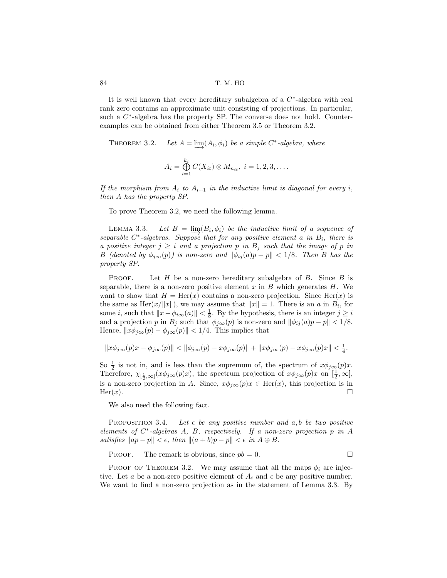84 T. M. HO

It is well known that every hereditary subalgebra of a  $C^*$ -algebra with real rank zero contains an approximate unit consisting of projections. In particular, such a  $C^*$ -algebra has the property SP. The converse does not hold. Counterexamples can be obtained from either Theorem 3.5 or Theorem 3.2.

THEOREM 3.2.  $\underline{\lim}(A_i, \phi_i)$  be a simple  $C^*$ -algebra, where

$$
A_i = \bigoplus_{i=1}^{k_i} C(X_{it}) \otimes M_{n_{it}}, i = 1, 2, 3, \dots
$$

If the morphism from  $A_i$  to  $A_{i+1}$  in the inductive limit is diagonal for every i, then A has the property SP.

To prove Theorem 3.2, we need the following lemma.

LEMMA 3.3. Let  $B = \lim_{h \to 0} (B_i, \phi_i)$  be the inductive limit of a sequence of  $separable C^* - algebras. Suppose that for any positive element a in B<sub>i</sub>, there is$ a positive integer  $j \geq i$  and a projection p in  $B_j$  such that the image of p in B (denoted by  $\phi_{j\infty}(p)$ ) is non-zero and  $\|\phi_{ij}(a)p - p\| < 1/8$ . Then B has the property SP.

**PROOF.** Let  $H$  be a non-zero hereditary subalgebra of  $B$ . Since  $B$  is separable, there is a non-zero positive element x in B which generates  $H$ . We want to show that  $H = \text{Her}(x)$  contains a non-zero projection. Since  $\text{Her}(x)$  is the same as Her $(x/\|x\|)$ , we may assume that  $\|x\| = 1$ . There is an a in  $B_i$ , for some *i*, such that  $||x - \phi_{i\infty}(a)|| < \frac{1}{8}$ . By the hypothesis, there is an integer  $j \geq i$ and a projection p in  $B_j$  such that  $\phi_{j\infty}(p)$  is non-zero and  $\|\phi_{ij}(a)p - p\| < 1/8$ . Hence,  $||x\phi_{j\infty}(p) - \phi_{j\infty}(p)|| < 1/4$ . This implies that

$$
\|x\phi_{j\infty}(p)x-\phi_{j\infty}(p)\|<\|\phi_{j\infty}(p)-x\phi_{j\infty}(p)\|+\|x\phi_{j\infty}(p)-x\phi_{j\infty}(p)x\|<\tfrac14.
$$

So  $\frac{1}{2}$  is not in, and is less than the supremum of, the spectrum of  $x\phi_{j\infty}(p)x$ . Therefore,  $\chi_{\left[\frac{1}{2},\infty\right]}(x\phi_{j\infty}(p)x)$ , the spectrum projection of  $x\phi_{j\infty}(p)x$  on  $\left[\frac{1}{2},\infty\right]$ , is a non-zero projection in A. Since,  $x\phi_{j\infty}(p)x \in \text{Her}(x)$ , this projection is in  $\text{Her}(x).$ 

We also need the following fact.

PROPOSITION 3.4. Let  $\epsilon$  be any positive number and a, b be two positive elements of  $C^*$ -algebras A, B, respectively. If a non-zero projection p in A satisfies  $\|ap - p\| < \epsilon$ , then  $\|(a + b)p - p\| < \epsilon$  in  $A \oplus B$ .

PROOF. The remark is obvious, since  $pb = 0$ .

PROOF OF THEOREM 3.2. We may assume that all the maps  $\phi_i$  are injective. Let a be a non-zero positive element of  $A_i$  and  $\epsilon$  be any positive number. We want to find a non-zero projection as in the statement of Lemma 3.3. By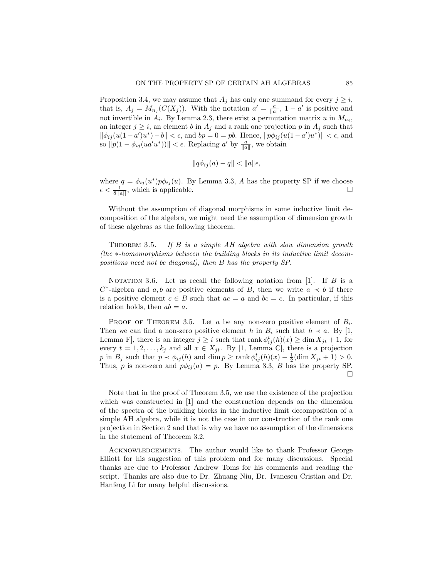Proposition 3.4, we may assume that  $A_j$  has only one summand for every  $j \geq i$ , that is,  $A_j = M_{n_j}(C(X_j))$ . With the notation  $a' = \frac{a}{\|a\|}$ ,  $1 - a'$  is positive and not invertible in  $A_i$ . By Lemma 2.3, there exist a permutation matrix u in  $M_{n_i}$ , an integer  $j \geq i$ , an element b in  $A_j$  and a rank one projection p in  $A_j$  such that  $\|\phi_{ij}(u(1-a')u^*)-b\| < \epsilon$ , and  $bp = 0 = pb$ . Hence,  $\|p\phi_{ij}(u(1-a')u^*)\| < \epsilon$ , and so  $||p(1 - \phi_{ij}(ua'u^*))|| < \epsilon$ . Replacing a' by  $\frac{a}{||a||}$ , we obtain

$$
||q\phi_{ij}(a) - q|| < ||a||\epsilon,
$$

where  $q = \phi_{ij}(u^*)p\phi_{ij}(u)$ . By Lemma 3.3, A has the property SP if we choose  $\epsilon < \frac{1}{8||a||}$ , which is applicable.

Without the assumption of diagonal morphisms in some inductive limit decomposition of the algebra, we might need the assumption of dimension growth of these algebras as the following theorem.

THEOREM 3.5. If  $B$  is a simple  $AH$  algebra with slow dimension growth (the ∗-homomorphisms between the building blocks in its inductive limit decompositions need not be diagonal), then B has the property SP.

NOTATION 3.6. Let us recall the following notation from  $[1]$ . If B is a  $C^*$ -algebra and a, b are positive elements of B, then we write  $a \prec b$  if there is a positive element  $c \in B$  such that  $ac = a$  and  $bc = c$ . In particular, if this relation holds, then  $ab = a$ .

PROOF OF THEOREM 3.5. Let a be any non-zero positive element of  $B_i$ . Then we can find a non-zero positive element h in  $B_i$  such that  $h \prec a$ . By [1, Lemma F], there is an integer  $j \geq i$  such that rank  $\phi_{ij}^t(h)(x) \geq \dim X_{jt} + 1$ , for every  $t = 1, 2, \ldots, k_j$  and all  $x \in X_{jt}$ . By [1, Lemma C], there is a projection p in  $B_j$  such that  $p \prec \phi_{ij}(h)$  and  $\dim p \ge \text{rank } \phi_{ij}^t(h)(x) - \frac{1}{2}(\dim X_{jt} + 1) > 0$ . Thus, p is non-zero and  $p\phi_{ij}(a) = p$ . By Lemma 3.3, B has the property SP.  $\Box$ 

Note that in the proof of Theorem 3.5, we use the existence of the projection which was constructed in [1] and the construction depends on the dimension of the spectra of the building blocks in the inductive limit decomposition of a simple AH algebra, while it is not the case in our construction of the rank one projection in Section 2 and that is why we have no assumption of the dimensions in the statement of Theorem 3.2.

Acknowledgements. The author would like to thank Professor George Elliott for his suggestion of this problem and for many discussions. Special thanks are due to Professor Andrew Toms for his comments and reading the script. Thanks are also due to Dr. Zhuang Niu, Dr. Ivanescu Cristian and Dr. Hanfeng Li for many helpful discussions.